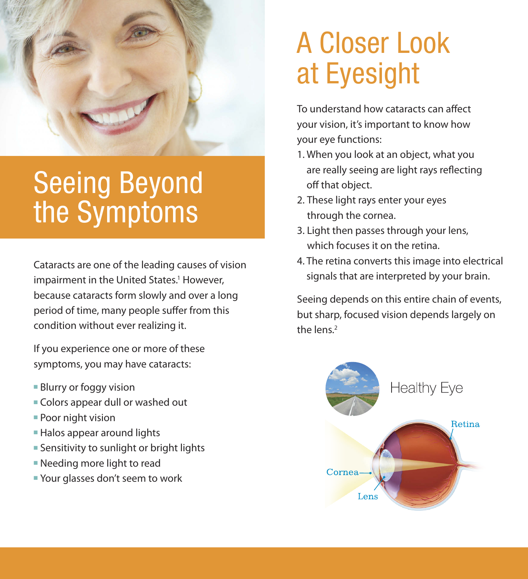

# Seeing Beyond the Symptoms

Cataracts are one of the leading causes of vision impairment in the United States.<sup>1</sup> However, because cataracts form slowly and over a long period of time, many people suffer from this condition without ever realizing it.

If you experience one or more of these symptoms, you may have cataracts:

- **Blurry or foggy vision**
- Colors appear dull or washed out
- $\blacksquare$  Poor night vision
- **Halos appear around lights**
- **Exensitivity to sunlight or bright lights**
- $\blacksquare$  Needing more light to read
- Your glasses don't seem to work

# A Closer Look at Eyesight

To understand how cataracts can affect your vision, it's important to know how your eye functions:

- 1. When you look at an object, what you are really seeing are light rays reflecting off that object.
- 2. These light rays enter your eyes through the cornea.
- 3. Light then passes through your lens, which focuses it on the retina.
- 4. The retina converts this image into electrical signals that are interpreted by your brain.

Seeing depends on this entire chain of events, but sharp, focused vision depends largely on the lens.<sup>2</sup>

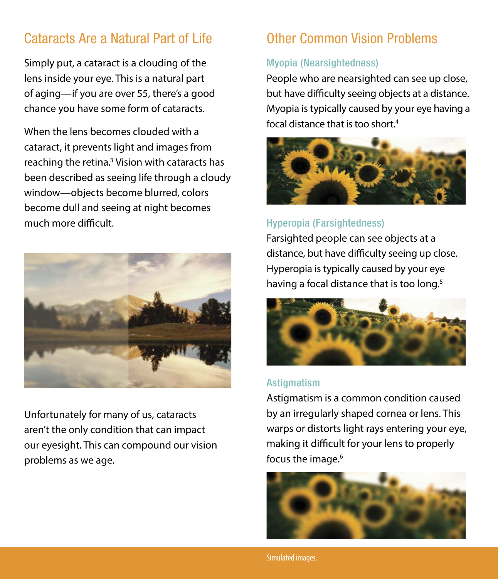# Cataracts Are a Natural Part of Life

Simply put, a cataract is a clouding of the lens inside your eye. This is a natural part of aging—if you are over 55, there's a good chance you have some form of cataracts.

When the lens becomes clouded with a cataract, it prevents light and images from reaching the retina.<sup>3</sup> Vision with cataracts has been described as seeing life through a cloudy window—objects become blurred, colors become dull and seeing at night becomes much more difficult.



Unfortunately for many of us, cataracts aren't the only condition that can impact our eyesight. This can compound our vision problems as we age.

## Other Common Vision Problems

#### Myopia (Nearsightedness)

People who are nearsighted can see up close, but have difficulty seeing objects at a distance. Myopia is typically caused by your eye having a focal distance that is too short.4



## Hyperopia (Farsightedness)

Farsighted people can see objects at a distance, but have difficulty seeing up close. Hyperopia is typically caused by your eye having a focal distance that is too long.<sup>5</sup>



#### Astigmatism

Astigmatism is a common condition caused by an irregularly shaped cornea or lens. This warps or distorts light rays entering your eye, making it difficult for your lens to properly focus the image.<sup>6</sup>

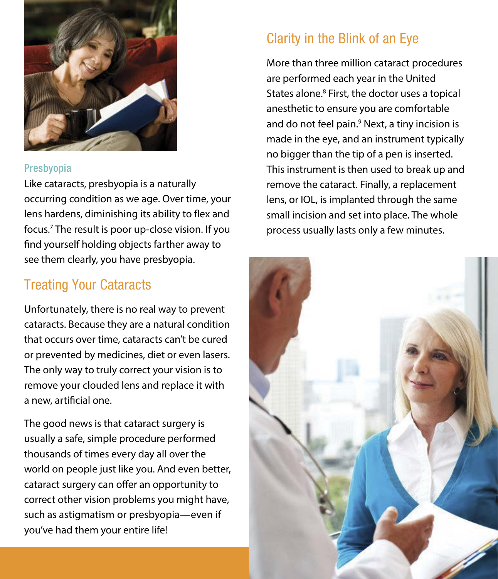

#### Presbyopia

Like cataracts, presbyopia is a naturally occurring condition as we age. Over time, your lens hardens, diminishing its ability to flex and focus.7 The result is poor up-close vision. If you find yourself holding objects farther away to see them clearly, you have presbyopia.

## Treating Your Cataracts

Unfortunately, there is no real way to prevent cataracts. Because they are a natural condition that occurs over time, cataracts can't be cured or prevented by medicines, diet or even lasers. The only way to truly correct your vision is to remove your clouded lens and replace it with a new, artificial one.

The good news is that cataract surgery is usually a safe, simple procedure performed thousands of times every day all over the world on people just like you. And even better, cataract surgery can offer an opportunity to correct other vision problems you might have, such as astigmatism or presbyopia—even if you've had them your entire life!

# Clarity in the Blink of an Eye

More than three million cataract procedures are performed each year in the United States alone.<sup>8</sup> First, the doctor uses a topical anesthetic to ensure you are comfortable and do not feel pain.<sup>9</sup> Next, a tiny incision is made in the eye, and an instrument typically no bigger than the tip of a pen is inserted. This instrument is then used to break up and remove the cataract. Finally, a replacement lens, or IOL, is implanted through the same small incision and set into place. The whole process usually lasts only a few minutes.

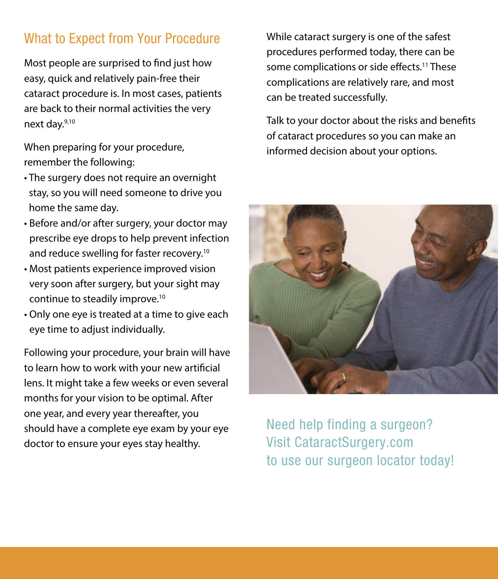# What to Expect from Your Procedure

Most people are surprised to find just how easy, quick and relatively pain-free their cataract procedure is. In most cases, patients are back to their normal activities the very next day.9,10

When preparing for your procedure, remember the following:

- The surgery does not require an overnight stay, so you will need someone to drive you home the same day.
- Before and/or after surgery, your doctor may prescribe eye drops to help prevent infection and reduce swelling for faster recovery.<sup>10</sup>
- Most patients experience improved vision very soon after surgery, but your sight may continue to steadily improve.10
- Only one eye is treated at a time to give each eye time to adjust individually.

Following your procedure, your brain will have to learn how to work with your new artificial lens. It might take a few weeks or even several months for your vision to be optimal. After one year, and every year thereafter, you should have a complete eye exam by your eye doctor to ensure your eyes stay healthy.

While cataract surgery is one of the safest procedures performed today, there can be some complications or side effects.<sup>11</sup> These complications are relatively rare, and most can be treated successfully.

Talk to your doctor about the risks and benefits of cataract procedures so you can make an informed decision about your options.



Need help finding a surgeon? Visit CataractSurgery.com to use our surgeon locator today!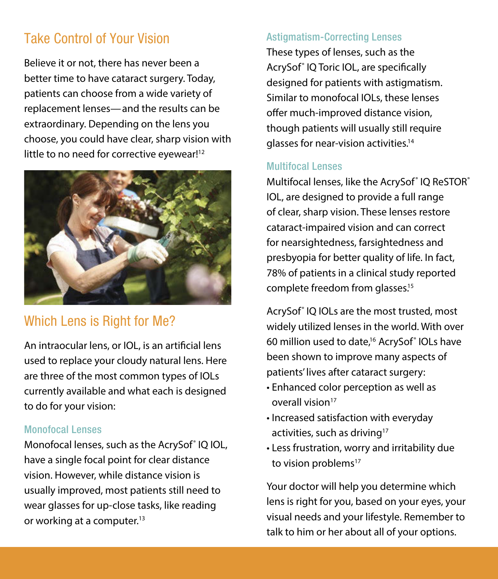# Take Control of Your Vision

Believe it or not, there has never been a better time to have cataract surgery. Today, patients can choose from a wide variety of replacement lenses—and the results can be extraordinary. Depending on the lens you choose, you could have clear, sharp vision with little to no need for corrective eyewear!<sup>12</sup>



# Which Lens is Right for Me?

An intraocular lens, or IOL, is an artificial lens used to replace your cloudy natural lens. Here are three of the most common types of IOLs currently available and what each is designed to do for your vision:

#### Monofocal Lenses

Monofocal lenses, such as the AcrySof<sup>®</sup> IQ IOL, have a single focal point for clear distance vision. However, while distance vision is usually improved, most patients still need to wear glasses for up-close tasks, like reading or working at a computer.<sup>13</sup>

#### Astigmatism-Correcting Lenses

These types of lenses, such as the AcrySof<sup>®</sup> IQ Toric IOL, are specifically designed for patients with astigmatism. Similar to monofocal IOLs, these lenses offer much-improved distance vision, though patients will usually still require glasses for near-vision activities.14

#### Multifocal Lenses

Multifocal lenses, like the AcrySof<sup>®</sup> IQ ReSTOR<sup>®</sup> IOL, are designed to provide a full range of clear, sharp vision. These lenses restore cataract-impaired vision and can correct for nearsightedness, farsightedness and presbyopia for better quality of life. In fact, 78% of patients in a clinical study reported complete freedom from glasses.15

AcrySof® IQ IOLs are the most trusted, most widely utilized lenses in the world. With over 60 million used to date,<sup>16</sup> AcrySof<sup>®</sup> IOLs have been shown to improve many aspects of patients' lives after cataract surgery:

- Enhanced color perception as well as overall vision<sup>17</sup>
- Increased satisfaction with everyday activities, such as driving<sup>17</sup>
- Less frustration, worry and irritability due to vision problems<sup>17</sup>

Your doctor will help you determine which lens is right for you, based on your eyes, your visual needs and your lifestyle. Remember to talk to him or her about all of your options.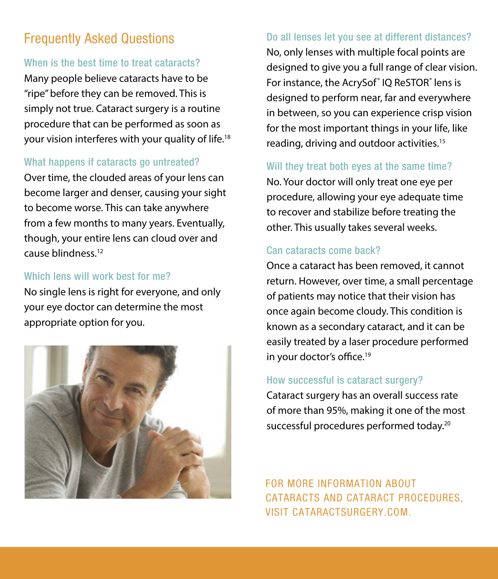# Frequently Asked Questions

## When is the best time to treat cataracts?

Many people believe cataracts have to be "ripe" before they can be removed. This is simply not true. Cataract surgery is a routine procedure that can be performed as soon as your vision interferes with your quality of life.<sup>18</sup>

## What happens if cataracts go untreated?

Over time, the clouded areas of your lens can become larger and denser, causing your sight to become worse. This can take anywhere from a few months to many years. Eventually, though, your entire lens can cloud over and cause blindness.12

### Which lens will work best for me?

No single lens is right for everyone, and only your eye doctor can determine the most appropriate option for you.



## Do all lenses let you see at different distances?

No, only lenses with multiple focal points are designed to give you a full range of clear vision. For instance, the AcrySof<sup>®</sup> IQ ReSTOR<sup>®</sup> lens is designed to perform near, far and everywhere in between, so you can experience crisp vision for the most important things in your life, like reading, driving and outdoor activities.15

## Will they treat both eyes at the same time?

No. Your doctor will only treat one eye per procedure, allowing your eye adequate time to recover and stabilize before treating the other. This usually takes several weeks.

## Can cataracts come back?

Once a cataract has been removed, it cannot return. However, over time, a small percentage of patients may notice that their vision has once again become cloudy. This condition is known as a secondary cataract, and it can be easily treated by a laser procedure performed in your doctor's office.<sup>19</sup>

## How successful is cataract surgery?

Cataract surgery has an overall success rate of more than 95%, making it one of the most successful procedures performed today.<sup>20</sup>

For more information about cataracts and cataract procedures, visit CataractSurgery.com.